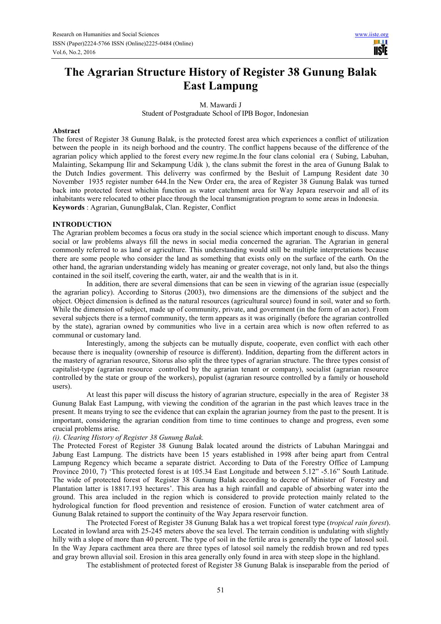# **The Agrarian Structure History of Register 38 Gunung Balak East Lampung**

M. Mawardi J

Student of Postgraduate School of IPB Bogor, Indonesian

#### **Abstract**

The forest of Register 38 Gunung Balak, is the protected forest area which experiences a conflict of utilization between the people in its neigh borhood and the country. The conflict happens because of the difference of the agrarian policy which applied to the forest every new regime.In the four clans colonial era ( Subing, Labuhan, Malainting, Sekampung Ilir and Sekampung Udik ), the clans submit the forest in the area of Gunung Balak to the Dutch Indies goverment. This deliverry was confirmed by the Besluit of Lampung Resident date 30 November 1935 register number 644.In the New Order era, the area of Register 38 Gunung Balak was turned back into protected forest whichin function as water catchment area for Way Jepara reservoir and all of its inhabitants were relocated to other place through the local transmigration program to some areas in Indonesia. **Keywords** : Agrarian, GunungBalak, Clan. Register, Conflict

# **INTRODUCTION**

The Agrarian problem becomes a focus ora study in the social science which important enough to discuss. Many social or law problems always fill the news in social media concerned the agrarian. The Agrarian in general commonly referred to as land or agriculture. This understanding would still be multiple interpretations because there are some people who consider the land as something that exists only on the surface of the earth. On the other hand, the agrarian understanding widely has meaning or greater coverage, not only land, but also the things contained in the soil itself, covering the earth, water, air and the wealth that is in it.

In addition, there are several dimensions that can be seen in viewing of the agrarian issue (especially the agrarian policy). According to Sitorus (2003), two dimensions are the dimensions of the subject and the object. Object dimension is defined as the natural resources (agricultural source) found in soil, water and so forth. While the dimension of subject, made up of community, private, and government (in the form of an actor). From several subjects there is a termof community, the term appears as it was originally (before the agrarian controlled by the state), agrarian owned by communities who live in a certain area which is now often referred to as communal or customary land.

Interestingly, among the subjects can be mutually dispute, cooperate, even conflict with each other because there is inequality (ownership of resource is different). Inddition, departing from the different actors in the mastery of agrarian resource, Sitorus also split the three types of agrarian structure. The three types consist of capitalist-type (agrarian resource controlled by the agrarian tenant or company), socialist (agrarian resource controlled by the state or group of the workers), populist (agrarian resource controlled by a family or household users).

At least this paper will discuss the history of agrarian structure, especially in the area of Register 38 Gunung Balak East Lampung, with viewing the condition of the agrarian in the past which leaves trace in the present. It means trying to see the evidence that can explain the agrarian journey from the past to the present. It is important, considering the agrarian condition from time to time continues to change and progress, even some crucial problems arise.

# *(i). Clearing History of Register 38 Gunung Balak.*

The Protected Forest of Register 38 Gunung Balak located around the districts of Labuhan Maringgai and Jabung East Lampung. The districts have been 15 years established in 1998 after being apart from Central Lampung Regency which became a separate district. According to Data of the Forestry Office of Lampung Province 2010, 7) 'This protected forest is at 105.34 East Longitude and between 5.12" -5.16" South Latitude. The wide of protected forest of Register 38 Gunung Balak according to decree of Minister of Forestry and Plantation latter is 18817.193 hectares'. This area has a high rainfall and capable of absorbing water into the ground. This area included in the region which is considered to provide protection mainly related to the hydrological function for flood prevention and resistence of erosion. Function of water catchment area of Gunung Balak retained to support the continuity of the Way Jepara reservoir function.

The Protected Forest of Register 38 Gunung Balak has a wet tropical forest type (*tropical rain forest*). Located in lowland area with 25-245 meters above the sea level. The terrain condition is undulating with slightly hilly with a slope of more than 40 percent. The type of soil in the fertile area is generally the type of latosol soil. In the Way Jepara cacthment area there are three types of latosol soil namely the reddish brown and red types and gray brown alluvial soil. Erosion in this area generally only found in area with steep slope in the highland.

The establishment of protected forest of Register 38 Gunung Balak is inseparable from the period of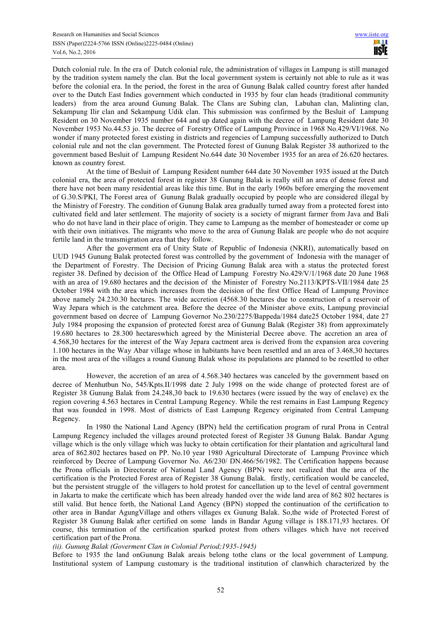Dutch colonial rule. In the era of Dutch colonial rule, the administration of villages in Lampung is still managed by the tradition system namely the clan. But the local government system is certainly not able to rule as it was before the colonial era. In the period, the forest in the area of Gunung Balak called country forest after handed over to the Dutch East Indies government which conducted in 1935 by four clan heads (traditional community leaders) from the area around Gunung Balak. The Clans are Subing clan, Labuhan clan, Malinting clan, Sekampung Ilir clan and Sekampung Udik clan. This submission was confirmed by the Besluit of Lampung Resident on 30 November 1935 number 644 and up dated again with the decree of Lampung Resident date 30 November 1953 No.44.53 jo. The decree of Forestry Office of Lampung Province in 1968 No.429/VI/1968. No wonder if many protected forest existing in districts and regencies of Lampung successfully authorized to Dutch colonial rule and not the clan government. The Protected forest of Gunung Balak Register 38 authorized to the government based Besluit of Lampung Resident No.644 date 30 November 1935 for an area of 26.620 hectares. known as country forest.

At the time of Besluit of Lampung Resident number 644 date 30 November 1935 issued at the Dutch colonial era, the area of protected forest in register 38 Gunung Balak is really still an area of dense forest and there have not been many residential areas like this time. But in the early 1960s before emerging the movement of G.30.S/PKI, The Forest area of Gunung Balak gradually occupied by people who are considered illegal by the Ministry of Forestry. The condition of Gunung Balak area gradually turned away from a protected forest into cultivated field and later settlement. The majority of society is a society of migrant farmer from Java and Bali who do not have land in their place of origin. They came to Lampung as the member of homesteader or come up with their own initiatives. The migrants who move to the area of Gunung Balak are people who do not acquire fertile land in the transmigration area that they follow.

After the goverment era of Unity State of Republic of Indonesia (NKRI), automatically based on UUD 1945 Gunung Balak protected forest was controlled by the government of Indonesia with the manager of the Department of Forestry. The Decision of Pricing Gunung Balak area with a status the protected forest register 38. Defined by decision of the Office Head of Lampung Forestry No.429/V/1/1968 date 20 June 1968 with an area of 19.680 hectares and the decision of the Minister of Forestry No.2113/KPTS-VII/1984 date 25 October 1984 with the area which increases from the decision of the first Office Head of Lampung Province above namely 24.230.30 hectares. The wide accretion (4568.30 hectares due to construction of a reservoir of Way Jepara which is the catchment area. Before the decree of the Minister above exits, Lampung provincial government based on decree of Lampung Governor No.230/2275/Bappeda/1984 date25 October 1984, date 27 July 1984 proposing the expansion of protected forest area of Gunung Balak (Register 38) from approximately 19.680 hectares to 28.300 hectareswhich agreed by the Ministerial Decree above. The accretion an area of 4.568,30 hectares for the interest of the Way Jepara cactment area is derived from the expansion area covering 1.100 hectares in the Way Abar village whose in habitants have been resettled and an area of 3.468,30 hectares in the most area of the villages a round Gunung Balak whose its populations are planned to be resettled to other area.

However, the accretion of an area of 4.568.340 hectares was canceled by the government based on decree of Menhutbun No, 545/Kpts.II/1998 date 2 July 1998 on the wide change of protected forest are of Register 38 Gunung Balak from 24.248,30 back to 19.630 hectares (were issued by the way of enclave) ex the region covering 4.563 hectares in Central Lampung Regency. While the rest remains in East Lampung Regency that was founded in 1998. Most of districts of East Lampung Regency originated from Central Lampung Regency.

In 1980 the National Land Agency (BPN) held the certification program of rural Prona in Central Lampung Regency included the villages around protected forest of Register 38 Gunung Balak. Bandar Agung village which is the only village which was lucky to obtain certification for their plantation and agricultural land area of 862.802 hectares based on PP. No.10 year 1980 Agricultural Directorate of Lampung Province which reinforced by Decree of Lampung Governor No. A6/230/ DN.466/56/1982. The Certification happens because the Prona officials in Directorate of National Land Agency (BPN) were not realized that the area of the certification is the Protected Forest area of Register 38 Gunung Balak. firstly, certification would be canceled, but the persistent struggle of the villagers to hold protest for cancellation up to the level of central government in Jakarta to make the certificate which has been already handed over the wide land area of 862 802 hectares is still valid. But hence forth, the National Land Agency (BPN) stopped the continuation of the certification to other area in Bandar AgungVillage and others villages ex Gunung Balak. So,the wide of Protected Forest of Register 38 Gunung Balak after certified on some lands in Bandar Agung village is 188.171,93 hectares. Of course, this termination of the certification sparked protest from others villages which have not received certification part of the Prona.

#### *(ii). Gunung Balak (Goverment Clan in Colonial Period;1935-1945)*

Before to 1935 the land onGunung Balak areais belong tothe clans or the local government of Lampung. Institutional system of Lampung customary is the traditional institution of clanwhich characterized by the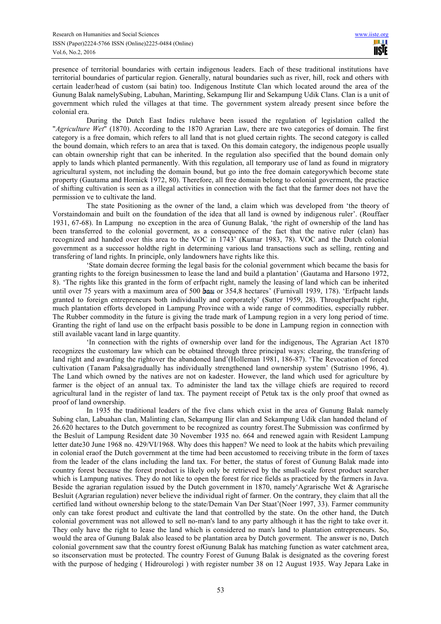presence of territorial boundaries with certain indigenous leaders. Each of these traditional institutions have territorial boundaries of particular region. Generally, natural boundaries such as river, hill, rock and others with certain leader/head of custom (sai batin) too. Indigenous Institute Clan which located around the area of the Gunung Balak namelySubing, Labuhan, Marinting, Sekampung Ilir and Sekampung Udik Clans. Clan is a unit of government which ruled the villages at that time. The government system already present since before the colonial era.

During the Dutch East Indies rulehave been issued the regulation of legislation called the "*Agriculture Wet*" (1870). According to the 1870 Agrarian Law, there are two categories of domain. The first category is a free domain, which refers to all land that is not glued certain rights. The second category is called the bound domain, which refers to an area that is taxed. On this domain category, the indigenous people usually can obtain ownership right that can be inherited. In the regulation also specified that the bound domain only apply to lands which planted permanently. With this regulation, all temporary use of land as found in migratory agricultural system, not including the domain bound, but go into the free domain categorywhich become state property (Gautama and Hornick 1972, 80). Therefore, all free domain belong to colonial goverment, the practice of shifting cultivation is seen as a illegal activities in connection with the fact that the farmer does not have the permission ve to cultivate the land.

The state Positioning as the owner of the land, a claim which was developed from 'the theory of Vorstaindomain and built on the foundation of the idea that all land is owned by indigenous ruler'. (Rouffaer 1931, 67-68). In Lampung no exception in the area of Gunung Balak, 'the right of ownership of the land has been transferred to the colonial goverment, as a consequence of the fact that the native ruler (clan) has recognized and handed over this area to the VOC in 1743' (Kumar 1983, 78). VOC and the Dutch colonial government as a successor holdthe right in determining various land transactions such as selling, renting and transfering of land rights. In principle, only landowners have rights like this.

'State domain decree forming the legal basis for the colonial government which became the basis for granting rights to the foreign businessmen to lease the land and build a plantation' (Gautama and Harsono 1972, 8). 'The rights like this granted in the form of erfpacht right, namely the leasing of land which can be inherited until over 75 years with a maximum area of 500 hau or 354.8 hectares' (Furnivall 1939, 178). 'Erfpacht lands granted to foreign entrepreneurs both individually and corporately' (Sutter 1959, 28). Througherfpacht right, much plantation efforts developed in Lampung Province with a wide range of commodities, especially rubber. The Rubber commodity in the future is giving the trade mark of Lampung region in a very long period of time. Granting the right of land use on the erfpacht basis possible to be done in Lampung region in connection with still available vacant land in large quantity.

'In connection with the rights of ownership over land for the indigenous, The Agrarian Act 1870 recognizes the customary law which can be obtained through three principal ways: clearing, the transfering of land right and awarding the rightover the abandoned land'(Holleman 1981, 186-87). 'The Revocation of forced cultivation (Tanam Paksa)gradually has individually strengthened land ownership system' (Sutrisno 1996, 4). The Land which owned by the natives are not on kadester. However, the land which used for agriculture by farmer is the object of an annual tax. To administer the land tax the village chiefs are required to record agricultural land in the register of land tax. The payment receipt of Petuk tax is the only proof that owned as proof of land ownership.

In 1935 the traditional leaders of the five clans which exist in the area of Gunung Balak namely Subing clan, Labuahan clan, Malinting clan, Sekampung Ilir clan and Sekampung Udik clan handed theland of 26.620 hectares to the Dutch government to be recognized as country forest.The Submission was confirmed by the Besluit of Lampung Resident date 30 November 1935 no. 664 and renewed again with Resident Lampung letter date30 June 1968 no. 429/VI/1968. Why does this happen? We need to look at the habits which prevailing in colonial eraof the Dutch government at the time had been accustomed to receiving tribute in the form of taxes from the leader of the clans including the land tax. For better, the status of forest of Gunung Balak made into country forest because the forest product is likely only be retrieved by the small-scale forest product searcher which is Lampung natives. They do not like to open the forest for rice fields as practiced by the farmers in Java. Beside the agrarian regulation issued by the Dutch government in 1870, namely Agrarische Wet & Agrarische Besluit (Agrarian regulation) never believe the individual right of farmer. On the contrary, they claim that all the certified land without ownership belong to the state/Demain Van Der Staat'(Noer 1997, 33). Farmer community only can take forest product and cultivate the land that controlled by the state. On the other hand, the Dutch colonial government was not allowed to sell no-man's land to any party although it has the right to take over it. They only have the right to lease the land which is considered no man's land to plantation entrepreneurs. So, would the area of Gunung Balak also leased to be plantation area by Dutch goverment. The answer is no, Dutch colonial government saw that the country forest ofGunung Balak has matching function as water catchment area, so itsconservation must be protected. The country Forest of Gunung Balak is designated as the covering forest with the purpose of hedging (Hidrourologi) with register number 38 on 12 August 1935. Way Jepara Lake in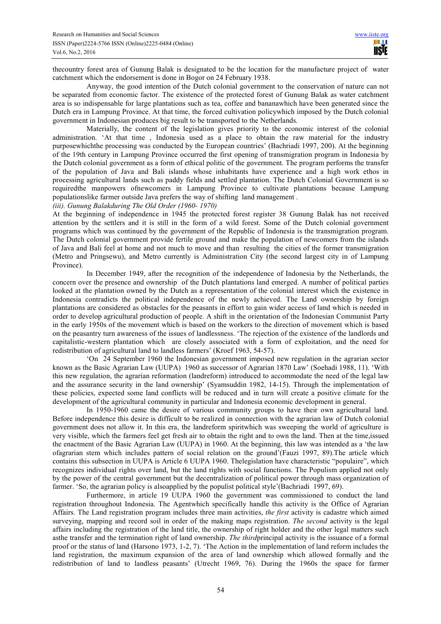thecountry forest area of Gunung Balak is designated to be the location for the manufacture project of water catchment which the endorsement is done in Bogor on 24 February 1938.

Anyway, the good intention of the Dutch colonial government to the conservation of nature can not be separated from economic factor. The existence of the protected forest of Gunung Balak as water catchment area is so indispensable for large plantations such as tea, coffee and bananawhich have been generated since the Dutch era in Lampung Province. At that time, the forced cultivation policywhich imposed by the Dutch colonial government in Indonesian produces big result to be transported to the Netherlands.

Materially, the content of the legislation gives priority to the economic interest of the colonial administration. 'At that time , Indonesia used as a place to obtain the raw material for the industry purposewhichthe processing was conducted by the European countries' (Bachriadi 1997, 200). At the beginning of the 19th century in Lampung Province occurred the first opening of transmigration program in Indonesia by the Dutch colonial government as a form of ethical politic of the government. The program performs the transfer of the population of Java and Bali islands whose inhabitants have experience and a high work ethos in processing agricultural lands such as paddy fields and settled plantation. The Dutch Colonial Government is so requiredthe manpowers ofnewcomers in Lampung Province to cultivate plantations because Lampung populationslike farmer outside Java prefers the way of shifting land management .

*(iii). Gunung Balakduring The Old Order (1960- 1970)* 

At the beginning of independence in 1945 the protected forest register 38 Gunung Balak has not received attention by the settlers and it is still in the form of a wild forest. Some of the Dutch colonial government programs which was continued by the government of the Republic of Indonesia is the transmigration program. The Dutch colonial government provide fertile ground and make the population of newcomers from the islands of Java and Bali feel at home and not much to move and than resulting the cities of the former transmigration (Metro and Pringsewu), and Metro currently is Administration City (the second largest city in of Lampung Province).

In December 1949, after the recognition of the independence of Indonesia by the Netherlands, the concern over the presence and ownership of the Dutch plantations land emerged. A number of political parties looked at the plantation owned by the Dutch as a representation of the colonial interest which the existence in Indonesia contradicts the political independence of the newly achieved. The Land ownership by foreign plantations are considered as obstacles for the peasants in effort to gain wider access of land which is needed in order to develop agricultural production of people. A shift in the orientation of the Indonesian Communist Party in the early 1950s of the movement which is based on the workers to the direction of movement which is based on the peasantry turn awareness of the issues of landlessness. 'The rejection of the existence of the landlords and capitalistic-western plantation which are closely associated with a form of exploitation, and the need for redistribution of agricultural land to landless farmers' (Kroef 1963, 54-57).

'On 24 September 1960 the Indonesian government imposed new regulation in the agrarian sector known as the Basic Agrarian Law (UUPA) 1960 as successor of Agrarian 1870 Law' (Soehadi 1988, 11). 'With this new regulation, the agrarian reformation (landreform) introduced to accommodate the need of the legal law and the assurance security in the land ownership' (Syamsuddin 1982, 14-15). Through the implementation of these policies, expected some land conflicts will be reduced and in turn will create a positive climate for the development of the agricultural community in particular and Indonesia economic development in general.

In 1950-1960 came the desire of various community groups to have their own agricultural land. Before independence this desire is difficult to be realized in connection with the agrarian law of Dutch colonial government does not allow it. In this era, the landreform spiritwhich was sweeping the world of agriculture is very visible, which the farmers feel get fresh air to obtain the right and to own the land. Then at the time,issued the enactment of the Basic Agrarian Law (UUPA) in 1960. At the beginning, this law was intended as a 'the law ofagrarian stem which includes pattern of social relation on the ground'(Fauzi 1997, 89).The article which contains this subsection in UUPA is Article 6 UUPA 1960. Thelegislation have characteristic "populaire", which recognizes individual rights over land, but the land rights with social functions. The Populism applied not only by the power of the central government but the decentralization of political power through mass organization of farmer. 'So, the agrarian policy is alsoapplied by the populist political style'(Bachriadi 1997, 69).

Furthermore, in article 19 UUPA 1960 the government was commissioned to conduct the land registration throughout Indonesia. The Agentwhich specifically handle this activity is the Office of Agrarian Affairs. The Land registration program includes three main activities, *the first* activity is cadastre which aimed surveying, mapping and record soil in order of the making maps registration. *The second* activity is the legal affairs including the registration of the land title, the ownership of right holder and the other legal matters such asthe transfer and the termination right of land ownership. *The third*principal activity is the issuance of a formal proof or the status of land (Harsono 1973, 1-2, 7). 'The Action in the implementation of land reform includes the land registration, the maximum expansion of the area of land ownership which allowed formally and the redistribution of land to landless peasants' (Utrecht 1969, 76). During the 1960s the space for farmer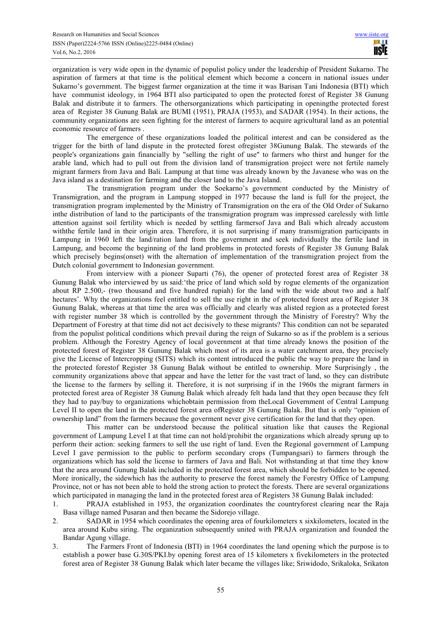organization is very wide open in the dynamic of populist policy under the leadership of President Sukarno. The aspiration of farmers at that time is the political element which become a concern in national issues under Sukarno's government. The biggest farmer organization at the time it was Barisan Tani Indonesia (BTI) which have communist ideology, in 1964 BTI also participated to open the protected forest of Register 38 Gunung Balak and distribute it to farmers. The othersorganizations which participating in openingthe protected forest area of Register 38 Gunung Balak are BUMI (1951), PRAJA (1953), and SADAR (1954). In their actions, the community organizations are seen fighting for the interest of farmers to acquire agricultural land as an potential economic resource of farmers .

The emergence of these organizations loaded the political interest and can be considered as the trigger for the birth of land dispute in the protected forest ofregister 38Gunung Balak. The stewards of the people's organizations gain financially by "selling the right of use" to farmers who thirst and hunger for the arable land, which had to pull out from the division land of transmigration project were not fertile namely migrant farmers from Java and Bali. Lampung at that time was already known by the Javanese who was on the Java island as a destination for farming and the closer land to the Java Island.

The transmigration program under the Soekarno's government conducted by the Ministry of Transmigration, and the program in Lampung stopped in 1977 because the land is full for the project, the transmigration program implemented by the Ministry of Transmigration on the era of the Old Order of Sukarno inthe distribution of land to the participants of the transmigration program was impressed carelessly with little attention against soil fertility which is needed by settling farmersof Java and Bali which already accustom withthe fertile land in their origin area. Therefore, it is not surprising if many transmigration participants in Lampung in 1960 left the land/ration land from the government and seek individually the fertile land in Lampung, and become the beginning of the land problems in protected forests of Register 38 Gunung Balak which precisely begins(onset) with the alternation of implementation of the transmigration project from the Dutch colonial government to Indonesian government.

From interview with a pioneer Suparti (76), the opener of protected forest area of Register 38 Gunung Balak who interviewed by us said:'the price of land which sold by rogue elements of the organization about RP 2.500,- (two thousand and five hundred rupiah) for the land with the wide about two and a half hectares'. Why the organizations feel entitled to sell the use right in the of protected forest area of Register 38 Gunung Balak, whereas at that time the area was officially and clearly was alisted region as a protected forest with register number 38 which is controlled by the government through the Ministry of Forestry? Why the Department of Forestry at that time did not act decisively to these migrants? This condition can not be separated from the populist political conditions which prevail during the reign of Sukarno so as if the problem is a serious problem. Although the Forestry Agency of local government at that time already knows the position of the protected forest of Register 38 Gunung Balak which most of its area is a water catchment area, they precisely give the License of Intercropping (SITS) which its content introduced the public the way to prepare the land in the protected forestof Register 38 Gunung Balak without be entitled to ownership. More Surprisingly , the community organizations above that appear and have the letter for the vast tract of land, so they can distribute the license to the farmers by selling it. Therefore, it is not surprising if in the 1960s the migrant farmers in protected forest area of Register 38 Gunung Balak which already felt hada land that they open because they felt they had to pay/buy to organizations whichobtain permission from theLocal Government of Central Lampung Level II to open the land in the protected forest area ofRegister 38 Gunung Balak. But that is only "opinion of ownership land" from the farmers because the goverment never give certification for the land that they open.

This matter can be understood because the political situation like that causes the Regional government of Lampung Level I at that time can not hold/prohibit the organizations which already sprung up to perform their action: seeking farmers to sell the use right of land. Even the Regional government of Lampung Level I gave permission to the public to perform secondary crops (Tumpangsari) to farmers through the organizations which has sold the license to farmers of Java and Bali. Not withstanding at that time they know that the area around Gunung Balak included in the protected forest area, which should be forbidden to be opened. More ironically, the sidewhich has the authority to preserve the forest namely the Forestry Office of Lampung Province, not or has not been able to hold the strong action to protect the forests. There are several organizations which participated in managing the land in the protected forest area of Registers 38 Gunung Balak included:

- 1. PRAJA established in 1953, the organization coordinates the countryforest clearing near the Raja Basa village named Pusaran and then became the Sidorejo village.
- 2. SADAR in 1954 which coordinates the opening area of fourkilometers x sixkilometers, located in the area around Kubu siring. The organization subsequently united with PRAJA organization and founded the Bandar Agung village.
- 3. The Farmers Front of Indonesia (BTI) in 1964 coordinates the land opening which the purpose is to establish a power base G.30S/PKI.by opening forest area of 15 kilometers x fivekilometers in the protected forest area of Register 38 Gunung Balak which later became the villages like; Sriwidodo, Srikaloka, Srikaton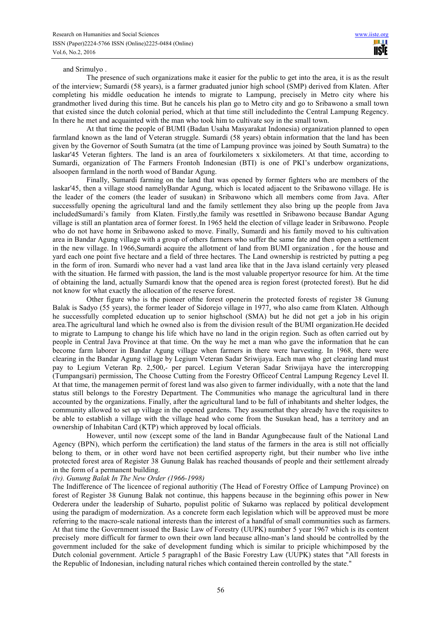#### and Srimulyo .

The presence of such organizations make it easier for the public to get into the area, it is as the result of the interview; Sumardi (58 years), is a farmer graduated junior high school (SMP) derived from Klaten. After completing his middle oeducation he intends to migrate to Lampung, precisely in Metro city where his grandmother lived during this time. But he cancels his plan go to Metro city and go to Sribawono a small town that existed since the dutch colonial period, which at that time still includedinto the Central Lampung Regency. In there he met and acquainted with the man who took him to cultivate soy in the small town.

At that time the people of BUMI (Badan Usaha Masyarakat Indonesia) organization planned to open farmland known as the land of Veteran struggle. Sumardi (58 years) obtain information that the land has been given by the Governor of South Sumatra (at the time of Lampung province was joined by South Sumatra) to the laskar'45 Veteran fighters. The land is an area of fourkilometers x sixkilometers. At that time, according to Sumardi, organization of The Farmers Frontoh Indonesian (BTI) is one of PKI's underbow organizations, alsoopen farmland in the north wood of Bandar Agung.

Finally, Sumardi farming on the land that was opened by former fighters who are members of the laskar'45, then a village stood namelyBandar Agung, which is located adjacent to the Sribawono village. He is the leader of the comers (the leader of susukan) in Sribawono which all members come from Java. After successfully opening the agricultural land and the family settlement they also bring up the people from Java includedSumardi's family from Klaten. Firstly,the family was resettled in Sribawono because Bandar Agung village is still an plantation area of former forest. In 1965 held the election of village leader in Sribawono. People who do not have home in Sribawono asked to move. Finally, Sumardi and his family moved to his cultivation area in Bandar Agung village with a group of others farmers who suffer the same fate and then open a settlement in the new village. In 1966,Sumardi acquire the allotment of land from BUMI organization , for the house and yard each one point five hectare and a field of three hectares. The Land ownership is restricted by putting a peg in the form of iron. Sumardi who never had a vast land area like that in the Java island certainly very pleased with the situation. He farmed with passion, the land is the most valuable propertyor resource for him. At the time of obtaining the land, actually Sumardi know that the opened area is region forest (protected forest). But he did not know for what exactly the allocation of the reserve forest.

Other figure who is the pioneer ofthe forest openerin the protected forests of register 38 Gunung Balak is Sadyo (55 years), the former leader of Sidorejo village in 1977, who also came from Klaten. Although he successfully completed education up to senior highschool (SMA) but he did not get a job in his origin area.The agricultural land which he owned also is from the division result of the BUMI organization.He decided to migrate to Lampung to change his life which have no land in the origin region. Such as often carried out by people in Central Java Province at that time. On the way he met a man who gave the information that he can become farm laborer in Bandar Agung village when farmers in there were harvesting. In 1968, there were clearing in the Bandar Agung village by Legium Veteran Sadar Sriwijaya. Each man who get clearing land must pay to Legium Veteran Rp. 2,500,- per parcel. Legium Veteran Sadar Sriwijaya have the intercropping (Tumpangsari) permission, The Choose Cutting from the Forestry Officeof Central Lampung Regency Level II. At that time, the managemen permit of forest land was also given to farmer individually, with a note that the land status still belongs to the Forestry Department. The Communities who manage the agricultural land in there accounted by the organizations. Finally, after the agricultural land to be full of inhabitants and shelter lodges, the community allowed to set up village in the opened gardens. They assumethat they already have the requisites to be able to establish a village with the village head who come from the Susukan head, has a territory and an ownership of Inhabitan Card (KTP) which approved by local officials.

However, until now (except some of the land in Bandar Agungbecause fault of the National Land Agency (BPN), which perform the certification) the land status of the farmers in the area is still not officially belong to them, or in other word have not been certified asproperty right, but their number who live inthe protected forest area of Register 38 Gunung Balak has reached thousands of people and their settlement already in the form of a permanent building.

# *(iv). Gunung Balak In The New Order (1966-1998)*

The Indifference of The licencee of regional authoritiy (The Head of Forestry Office of Lampung Province) on forest of Register 38 Gunung Balak not continue, this happens because in the beginning ofhis power in New Orderera under the leadership of Suharto, populist politic of Sukarno was replaced by political development using the paradigm of modernization. As a concrete form each legislation which will be approved must be more referring to the macro-scale national interests than the interest of a handful of small communities such as farmers. At that time the Government issued the Basic Law of Forestry (UUPK) number 5 year 1967 which is its content precisely more difficult for farmer to own their own land because allno-man's land should be controlled by the government included for the sake of development funding which is similar to priciple whichimposed by the Dutch colonial government. Article 5 paragraph1 of the Basic Forestry Law (UUPK) states that "All forests in the Republic of Indonesian, including natural riches which contained therein controlled by the state."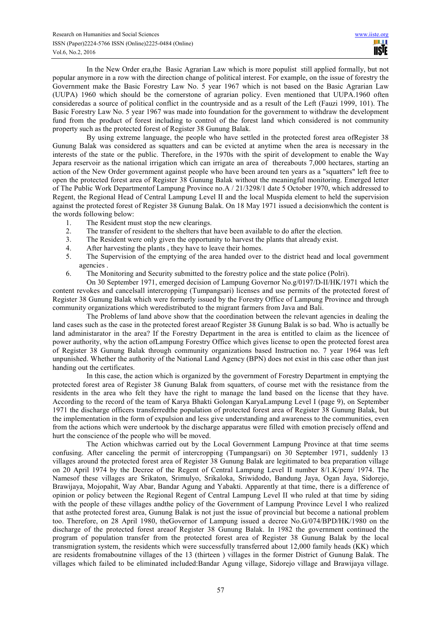In the New Order era,the Basic Agrarian Law which is more populist still applied formally, but not popular anymore in a row with the direction change of political interest. For example, on the issue of forestry the Government make the Basic Forestry Law No. 5 year 1967 which is not based on the Basic Agrarian Law (UUPA) 1960 which should be the cornerstone of agrarian policy. Even mentioned that UUPA.1960 often consideredas a source of political conflict in the countryside and as a result of the Left (Fauzi 1999, 101). The Basic Forestry Law No. 5 year 1967 was made into foundation for the government to withdraw the development fund from the product of forest including to control of the forest land which considered is not community property such as the protected forest of Register 38 Gunung Balak.

By using extreme language, the people who have settled in the protected forest area ofRegister 38 Gunung Balak was considered as squatters and can be evicted at anytime when the area is necessary in the interests of the state or the public. Therefore, in the 1970s with the spirit of development to enable the Way Jepara reservoir as the national irrigation which can irrigate an area of thereabouts 7,000 hectares, starting an action of the New Order government against people who have been around ten years as a "squatters" left free to open the protected forest area of Register 38 Gunung Balak without the meaningful monitoring. Emerged letter of The Public Work Departmentof Lampung Province no.A / 21/3298/1 date 5 October 1970, which addressed to Regent, the Regional Head of Central Lampung Level II and the local Muspida element to held the supervision against the protected forest of Register 38 Gunung Balak. On 18 May 1971 issued a decisionwhich the content is the words following below:

- 1. The Resident must stop the new clearings.<br>2. The transfer of resident to the shelters that
- The transfer of resident to the shelters that have been available to do after the election.
- 3. The Resident were only given the opportunity to harvest the plants that already exist.
- 4. After harvesting the plants, they have to leave their homes.<br>5. The Supervision of the emptying of the area handed over
- The Supervision of the emptying of the area handed over to the district head and local government agencies .
- 6. The Monitoring and Security submitted to the forestry police and the state police (Polri).

On 30 September 1971, emerged decision of Lampung Governor No.g/0197/D-II/HK/1971 which the content revokes and cancelsall intercropping (Tumpangsari) licenses and use permits of the protected forest of Register 38 Gunung Balak which were formerly issued by the Forestry Office of Lampung Province and through community organizations which weredistributed to the migrant farmers from Java and Bali.

The Problems of land above show that the coordination between the relevant agencies in dealing the land cases such as the case in the protected forest areaof Register 38 Gunung Balak is so bad. Who is actually be land administarator in the area? If the Forestry Department in the area is entitled to claim as the licencee of power authority, why the action ofLampung Forestry Office which gives license to open the protected forest area of Register 38 Gunung Balak through community organizations based Instruction no. 7 year 1964 was left unpunished. Whether the authority of the National Land Agency (BPN) does not exist in this case other than just handing out the certificates.

In this case, the action which is organized by the government of Forestry Department in emptying the protected forest area of Register 38 Gunung Balak from squatters, of course met with the resistance from the residents in the area who felt they have the right to manage the land based on the license that they have. According to the record of the team of Karya Bhakti Golongan KaryaLampung Level I (page 9), on September 1971 the discharge officers transferredthe population of protected forest area of Register 38 Gunung Balak, but the implementation in the form of expulsion and less give understanding and awareness to the communities, even from the actions which were undertook by the discharge apparatus were filled with emotion precisely offend and hurt the conscience of the people who will be moved.

The Action whichwas carried out by the Local Government Lampung Province at that time seems confusing. After canceling the permit of intercropping (Tumpangsari) on 30 September 1971, suddenly 13 villages around the protected forest area of Register 38 Gunung Balak are legitimated to bea preparation village on 20 April 1974 by the Decree of the Regent of Central Lampung Level II number 8/1.K/pem/ 1974. The Namesof these villages are Srikaton, Srimulyo, Srikaloka, Sriwidodo, Bandung Jaya, Ogan Jaya, Sidorejo, Brawijaya, Mojopahit, Way Abar, Bandar Agung and Yabakti. Apparently at that time, there is a difference of opinion or policy between the Regional Regent of Central Lampung Level II who ruled at that time by siding with the people of these villages andthe policy of the Government of Lampung Province Level I who realized that asthe protected forest area, Gunung Balak is not just the issue of provincial but become a national problem too. Therefore, on 28 April 1980, theGovernor of Lampung issued a decree No.G/074/BPD/HK/1980 on the discharge of the protected forest areaof Register 38 Gunung Balak. In 1982 the government continued the program of population transfer from the protected forest area of Register 38 Gunung Balak by the local transmigration system, the residents which were successfully transferred about 12,000 family heads (KK) which are residents fromaboutnine villages of the 13 (thirteen ) villages in the former District of Gunung Balak. The villages which failed to be eliminated included:Bandar Agung village, Sidorejo village and Brawijaya village.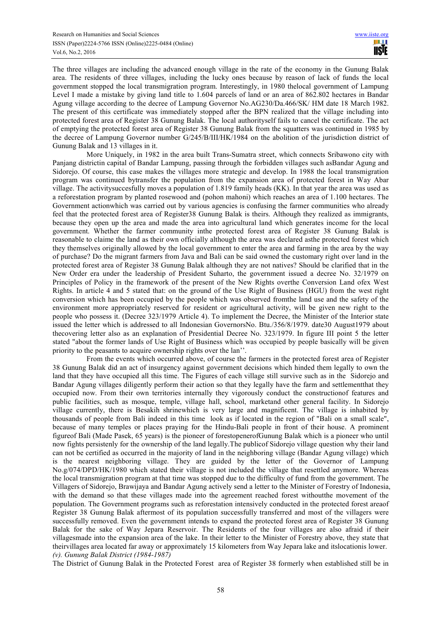The three villages are including the advanced enough village in the rate of the economy in the Gunung Balak area. The residents of three villages, including the lucky ones because by reason of lack of funds the local government stopped the local transmigration program. Interestingly, in 1980 thelocal government of Lampung Level I made a mistake by giving land title to 1.604 parcels of land or an area of 862.802 hectares in Bandar Agung village according to the decree of Lampung Governor No.AG230/Da.466/SK/ HM date 18 March 1982. The present of this certificate was immediately stopped after the BPN realized that the village including into protected forest area of Register 38 Gunung Balak. The local authorityself fails to cancel the certificate. The act of emptying the protected forest area of Register 38 Gunung Balak from the squatters was continued in 1985 by the decree of Lampung Governor number G/245/B/III/HK/1984 on the abolition of the jurisdiction district of Gunung Balak and 13 villages in it.

More Uniquely, in 1982 in the area built Trans-Sumatra street, which connects Sribawono city with Panjang districtin capital of Bandar Lampung, passing through the forbidden villages such asBandar Agung and Sidorejo. Of course, this case makes the villages more strategic and develop. In 1988 the local transmigration program was continued bytransfer the population from the expansion area of protected forest in Way Abar village. The activitysuccesfully moves a population of 1.819 family heads (KK). In that year the area was used as a reforestation program by planted rosewood and (pohon mahoni) which reaches an area of 1.100 hectares. The Government actionwhich was carried out by various agencies is confusing the farmer communities who already feel that the protected forest area of Register38 Gunung Balak is theirs. Although they realized as immigrants, because they open up the area and made the area into agricultural land which generates income for the local government. Whether the farmer community inthe protected forest area of Register 38 Gunung Balak is reasonable to claime the land as their own officially although the area was declared asthe protected forest which they themselves originally allowed by the local government to enter the area and farming in the area by the way of purchase? Do the migrant farmers from Java and Bali can be said owned the customary right over land in the protected forest area of Register 38 Gunung Balak although they are not natives? Should be clarified that in the New Order era under the leadership of President Suharto, the government issued a decree No. 32/1979 on Principles of Policy in the framework of the present of the New Rights overthe Conversion Land ofex West Rights. In article 4 and 5 stated that: on the ground of the Use Right of Business (HGU) from the west right conversion which has been occupied by the people which was observed fromthe land use and the safety of the environment more appropriately reserved for resident or agricultural activity, will be given new right to the people who possess it. (Decree 323/1979 Article 4). To implement the Decree, the Minister of the Interior state issued the letter which is addressed to all Indonesian GovernorsNo. Btu./356/8/1979. date30 August1979 about thecovering letter also as an explanation of Presidential Decree No. 323/1979. In figure III point 5 the letter stated "about the former lands of Use Right of Business which was occupied by people basically will be given priority to the peasants to acquire ownership rights over the lan''.

From the events which occurred above, of course the farmers in the protected forest area of Register 38 Gunung Balak did an act of insurgency against government decisions which hinded them legally to own the land that they have occupied all this time. The Figures of each village still survive such as in the Sidorejo and Bandar Agung villages diligently perform their action so that they legally have the farm and settlementthat they occupied now. From their own territories internally they vigorously conduct the constructionof features and public facilities, such as mosque, temple, village hall, school, marketand other general facility. In Sidorejo village currently, there is Besakih shrinewhich is very large and magnificent. The village is inhabited by thousands of people from Bali indeed in this time look as if located in the region of "Bali on a small scale", because of many temples or places praying for the Hindu-Bali people in front of their house. A prominent figureof Bali (Made Pasek, 65 years) is the pioneer of forestopenerofGunung Balak which is a pioneer who until now fights persistenly for the ownership of the land legally.The publicof Sidorejo village question why their land can not be certified as occurred in the majority of land in the neighboring village (Bandar Agung village) which is the nearest neighboring village. They are guided by the letter of the Governor of Lampung No.g/074/DPD/HK/1980 which stated their village is not included the village that resettled anymore. Whereas the local transmigration program at that time was stopped due to the difficulty of fund from the government. The Villagers of Sidorejo, Brawijaya and Bandar Agung actively send a letter to the Minister of Forestry of Indonesia, with the demand so that these villages made into the agreement reached forest withoutthe movement of the population. The Government programs such as reforestation intensively conducted in the protected forest areaof Register 38 Gunung Balak aftermost of its population successfully transferred and most of the villagers were successfully removed. Even the government intends to expand the protected forest area of Register 38 Gunung Balak for the sake of Way Jepara Reservoir. The Residents of the four villages are also afraid if their villagesmade into the expansion area of the lake. In their letter to the Minister of Forestry above, they state that theirvillages area located far away or approximately 15 kilometers from Way Jepara lake and itslocationis lower. *(v). Gunung Balak District (1984-1987)* 

The District of Gunung Balak in the Protected Forest area of Register 38 formerly when established still be in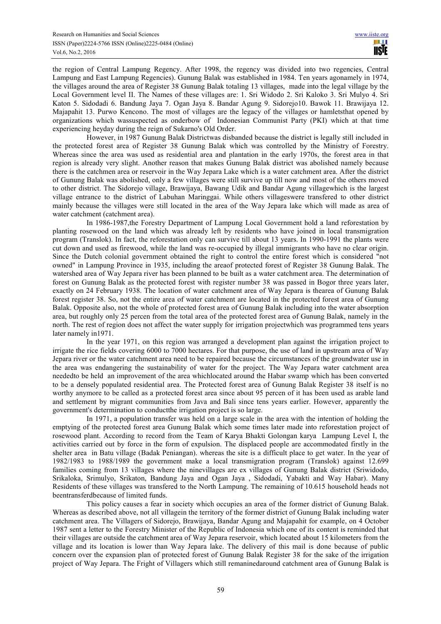the region of Central Lampung Regency. After 1998, the regency was divided into two regencies, Central Lampung and East Lampung Regencies). Gunung Balak was established in 1984. Ten years agonamely in 1974, the villages around the area of Register 38 Gunung Balak totaling 13 villages, made into the legal village by the Local Government level II. The Names of these villages are: 1. Sri Widodo 2. Sri Kaloko 3. Sri Mulyo 4. Sri Katon 5. Sidodadi 6. Bandung Jaya 7. Ogan Jaya 8. Bandar Agung 9. Sidorejo10. Bawok 11. Brawijaya 12. Majapahit 13. Purwo Kencono. The most of villages are the legacy of the villages or hamletsthat opened by organizations which wassuspected as onderbow of Indonesian Communist Party (PKI) which at that time experiencing heyday during the reign of Sukarno's Old Order.

However, in 1987 Gunung Balak Districtwas disbanded because the district is legally still included in the protected forest area of Register 38 Gunung Balak which was controlled by the Ministry of Forestry. Whereas since the area was used as residential area and plantation in the early 1970s, the forest area in that region is already very slight. Another reason that makes Gunung Balak district was abolished namely because there is the catchmen area or reservoir in the Way Jepara Lake which is a water catchment area. After the district of Gunung Balak was abolished, only a few villages were still survive up till now and most of the others moved to other district. The Sidorejo village, Brawijaya, Bawang Udik and Bandar Agung villagewhich is the largest village entrance to the district of Labuhan Maringgai. While others villageswere transfered to other district mainly because the villages were still located in the area of the Way Jepara lake which will made as area of water catchment (catchment area).

In 1986-1987,the Forestry Department of Lampung Local Government hold a land reforestation by planting rosewood on the land which was already left by residents who have joined in local transmigration program (Translok). In fact, the reforestation only can survive till about 13 years. In 1990-1991 the plants were cut down and used as firewood, while the land was re-occupied by illegal immigrants who have no clear origin. Since the Dutch colonial government obtained the right to control the entire forest which is considered "not owned" in Lampung Province in 1935, including the areaof protected forest of Register 38 Gunung Balak. The watershed area of Way Jepara river has been planned to be built as a water catchment area. The determination of forest on Gunung Balak as the protected forest with register number 38 was passed in Bogor three years later, exactly on 24 February 1938. The location of water catchment area of Way Jepara is thearea of Gunung Balak forest register 38. So, not the entire area of water catchment are located in the protected forest area of Gunung Balak. Opposite also, not the whole of protected forest area of Gunung Balak including into the water absorption area, but roughly only 25 percen from the total area of the protected forest area of Gunung Balak, namely in the north. The rest of region does not affect the water supply for irrigation projectwhich was programmed tens years later namely in1971.

In the year 1971, on this region was arranged a development plan against the irrigation project to irrigate the rice fields covering 6000 to 7000 hectares. For that purpose, the use of land in upstream area of Way Jepara river or the water catchment area need to be repaired because the circumstances of the groundwater use in the area was endangering the sustainability of water for the project. The Way Jepara water catchment area neededto be held an improvement of the area whichlocated around the Habar swamp which has been converted to be a densely populated residential area. The Protected forest area of Gunung Balak Register 38 itself is no worthy anymore to be called as a protected forest area since about 95 percen of it has been used as arable land and settlement by migrant communities from Java and Bali since tens years earlier. However, apparently the government's determination to conductthe irrigation project is so large.

In 1971, a population transfer was held on a large scale in the area with the intention of holding the emptying of the protected forest area Gunung Balak which some times later made into reforestation project of rosewood plant. According to record from the Team of Karya Bhakti Golongan karya Lampung Level I, the activities carried out by force in the form of expulsion. The displaced people are accommodated firstly in the shelter area in Batu village (Badak Peniangan). whereas the site is a difficult place to get water. In the year of 1982/1983 to 1988/1989 the government make a local transmigration program (Translok) against 12.699 families coming from 13 villages where the ninevillages are ex villages of Gunung Balak district (Sriwidodo, Srikaloka, Srimulyo, Srikaton, Bandung Jaya and Ogan Jaya , Sidodadi, Yabakti and Way Habar). Many Residents of these villages was transfered to the North Lampung. The remaining of 10.615 household heads not beentransferdbecause of limited funds.

This policy causes a fear in society which occupies an area of the former district of Gunung Balak. Whereas as described above, not all villagein the territory of the former district of Gunung Balak including water catchment area. The Villagers of Sidorejo, Brawijaya, Bandar Agung and Majapahit for example, on 4 October 1987 sent a letter to the Forestry Minister of the Republic of Indonesia which one of its content is reminded that their villages are outside the catchment area of Way Jepara reservoir, which located about 15 kilometers from the village and its location is lower than Way Jepara lake. The delivery of this mail is done because of public concern over the expansion plan of protected forest of Gunung Balak Register 38 for the sake of the irrigation project of Way Jepara. The Fright of Villagers which still remaninedaround catchment area of Gunung Balak is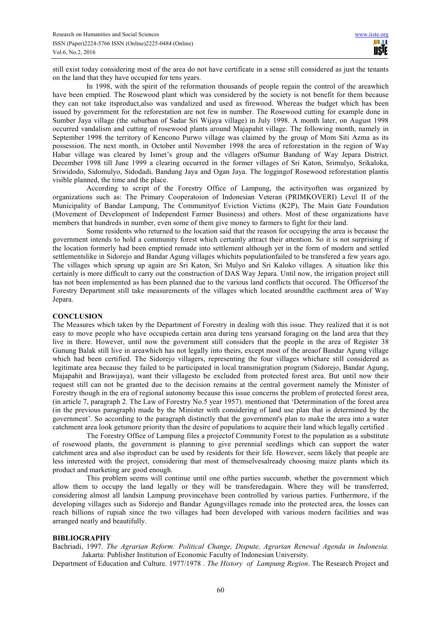still exist today considering most of the area do not have certificate in a sense still considered as just the tenants on the land that they have occupied for tens years.

In 1998, with the spirit of the reformation thousands of people regain the control of the areawhich have been emptied. The Rosewood plant which was considered by the society is not benefit for them because they can not take itsproduct,also was vandalized and used as firewood. Whereas the budget which has been issued by government for the reforestation are not few in number. The Rosewood cutting for example done in Sumber Jaya village (the suburban of Sadar Sri Wijaya village) in July 1998. A month later, on August 1998 occurred vandalism and cutting of rosewood plants around Majapahit village. The following month, namely in September 1998 the territory of Kencono Purwo village was claimed by the group of Mom Siti Azma as its possession. The next month, in October until November 1998 the area of reforestation in the region of Way Habar village was cleared by Ismet's group and the villagers ofSumur Bandung of Way Jepara District. December 1998 till June 1999 a clearing occurred in the former villages of Sri Katon, Srimulyo, Srikaloka, Sriwidodo, Sidomulyo, Sidodadi, Bandung Jaya and Ogan Jaya. The loggingof Rosewood reforestation plantis visible planned, the time and the place.

According to script of the Forestry Office of Lampung, the activityoften was organized by organizations such as: The Primary Cooperatoion of Indonesian Veteran (PRIMKOVERI) Level II of the Municipality of Bandar Lampung, The Communityof Eviction Victims (K2P), The Main Gate Foundation (Movement of Development of Independent Farmer Business) and others. Most of these organizations have members that hundreds in number, even some of them give money to farmers to fight for their land.

Some residents who returned to the location said that the reason for occupying the area is because the government intends to hold a community forest which certainly attract their attention. So it is not surprising if the location formerly had been emptied remade into settlement although yet in the form of modern and settled settlementslike in Sidorejo and Bandar Agung villages whichits populationfailed to be transfered a few years ago. The villages which sprung up again are Sri Katon, Sri Mulyo and Sri Kaloko villages. A situation like this certainly is more difficult to carry out the construction of DAS Way Jepara. Until now, the irrigation project still has not been implemented as has been planned due to the various land conflicts that occured. The Officersof the Forestry Department still take measurements of the villages which located aroundthe cacthment area of Way Jepara.

# **CONCLUSION**

The Measures which taken by the Department of Forestry in dealing with this issue. They realized that it is not easy to move people who have occupieda certain area during tens yearsand foraging on the land area that they live in there. However, until now the government still considers that the people in the area of Register 38 Gunung Balak still live in areawhich has not legally into theirs, except most of the areaof Bandar Agung village which had been certified. The Sidorejo villagers, representing the four villages whichare still considered as legitimate area because they failed to be participated in local transmigration program (Sidorejo, Bandar Agung, Majapahit and Brawijaya), want their villagesto be excluded from protected forest area. But until now their request still can not be granted due to the decision remains at the central goverment namely the Minister of Forestry though in the era of regional autonomy because this issue concerns the problem of protected forest area, (in article 7, paragraph 2. The Law of Forestry No.5 year 1957). mentioned that 'Determination of the forest area (in the previous paragraph) made by the Minister with considering of land use plan that is determined by the government'. So according to the paragraph distinctly that the government's plan to make the area into a water catchment area look getsmore priority than the desire of populations to acquire their land which legally certified .

The Forestry Office of Lampung files a projectof Community Forest to the population as a substitute of rosewood plants, the government is planning to give perennial seedlings which can support the water catchment area and also itsproduct can be used by residents for their life. However, seem likely that people are less interested with the project, considering that most of themselvesalready choosing maize plants which its product and marketing are good enough.

This problem seems will continue until one ofthe parties succumb, whether the government which allow them to occupy the land legally or they will be transferedagain. Where they will be transferred, considering almost all landsin Lampung provincehave been controlled by various parties. Furthermore, if the developing villages such as Sidorejo and Bandar Agungvillages remade into the protected area, the losses can reach billions of rupiah since the two villages had been developed with various modern facilities and was arranged neatly and beautifully.

#### **BIBLIOGRAPHY**

Bachriadi, 1997. *The Agrarian Reform: Political Change, Dispute, Agrarian Renewal Agenda in Indonesia.* Jakarta: Publisher Institution of Economic Faculty of Indonesian University.

Department of Education and Culture. 1977/1978 . *The History of Lampung Region*. The Research Project and